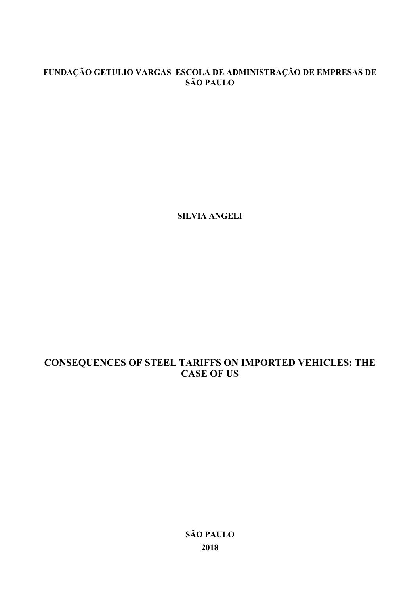# **FUNDAÇÃO GETULIO VARGAS ESCOLA DE ADMINISTRAÇÃO DE EMPRESAS DE SÃO PAULO**

**SILVIA ANGELI**

# **CONSEQUENCES OF STEEL TARIFFS ON IMPORTED VEHICLES: THE CASE OF US**

**SÃO PAULO 2018**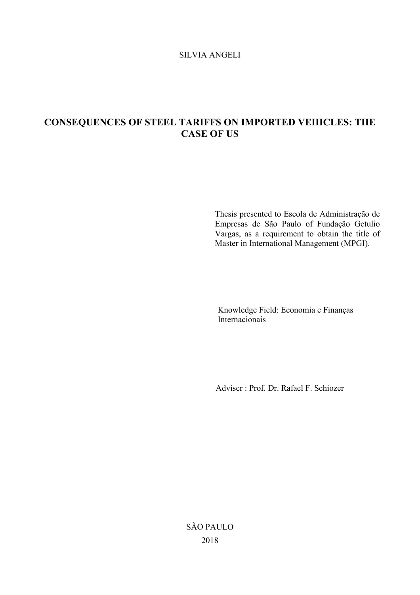## SILVIA ANGELI

# **CONSEQUENCES OF STEEL TARIFFS ON IMPORTED VEHICLES: THE CASE OF US**

Thesis presented to Escola de Administração de Empresas de São Paulo of Fundação Getulio Vargas, as a requirement to obtain the title of Master in International Management (MPGI).

Knowledge Field: Economia e Finanças Internacionais

Adviser : Prof. Dr. Rafael F. Schiozer

SÃO PAULO 2018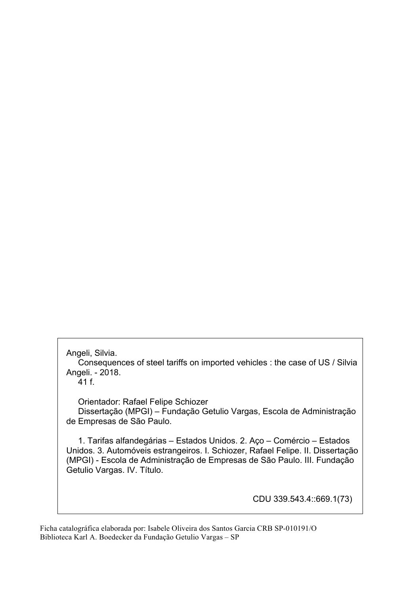Angeli, Silvia.

 Consequences of steel tariffs on imported vehicles : the case of US / Silvia Angeli. - 2018.

41 f.

Orientador: Rafael Felipe Schiozer

 Dissertação (MPGI) – Fundação Getulio Vargas, Escola de Administração de Empresas de São Paulo.

 1. Tarifas alfandegárias – Estados Unidos. 2. Aço – Comércio – Estados Unidos. 3. Automóveis estrangeiros. I. Schiozer, Rafael Felipe. II. Dissertação (MPGI) - Escola de Administração de Empresas de São Paulo. III. Fundação Getulio Vargas. IV. Título.

CDU 339.543.4::669.1(73)

Ficha catalográfica elaborada por: Isabele Oliveira dos Santos Garcia CRB SP-010191/O Biblioteca Karl A. Boedecker da Fundação Getulio Vargas – SP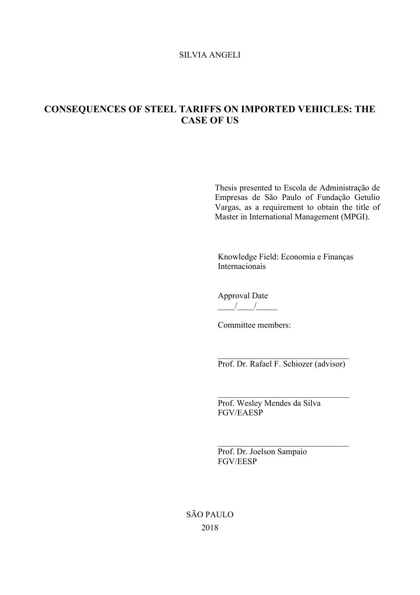#### SILVIA ANGELI

# **CONSEQUENCES OF STEEL TARIFFS ON IMPORTED VEHICLES: THE CASE OF US**

Thesis presented to Escola de Administração de Empresas de São Paulo of Fundação Getulio Vargas, as a requirement to obtain the title of Master in International Management (MPGI).

Knowledge Field: Economia e Finanças Internacionais

Approval Date  $\frac{1}{\sqrt{2}}$ 

Committee members:

 $\mathcal{L}_\text{max}$ Prof. Dr. Rafael F. Schiozer (advisor)

 $\mathcal{L}_\text{max}$  , where  $\mathcal{L}_\text{max}$  and  $\mathcal{L}_\text{max}$  and  $\mathcal{L}_\text{max}$ 

 $\mathcal{L}_\text{max}$  , where  $\mathcal{L}_\text{max}$  and  $\mathcal{L}_\text{max}$  and  $\mathcal{L}_\text{max}$ 

Prof. Wesley Mendes da Silva FGV/EAESP

Prof. Dr. Joelson Sampaio FGV/EESP

SÃO PAULO 2018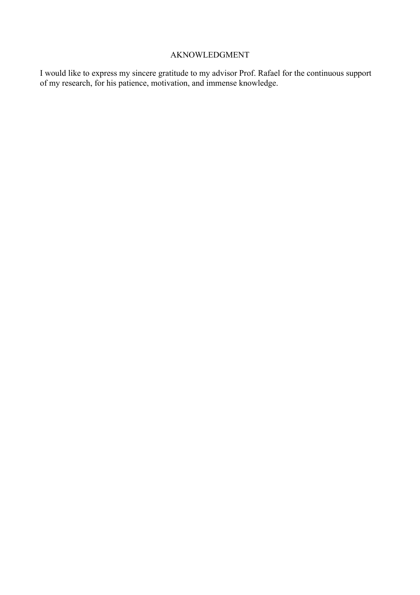### AKNOWLEDGMENT

I would like to express my sincere gratitude to my advisor Prof. Rafael for the continuous support of my research, for his patience, motivation, and immense knowledge.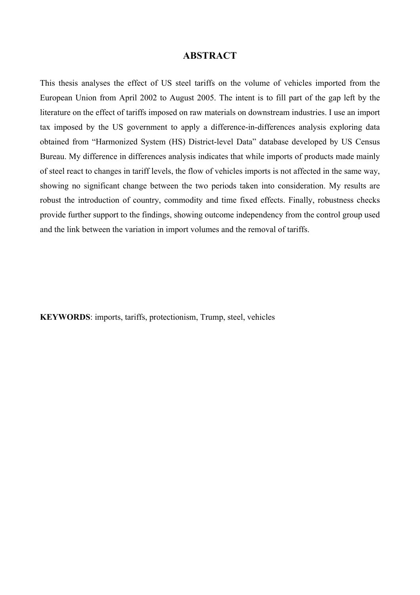## **ABSTRACT**

This thesis analyses the effect of US steel tariffs on the volume of vehicles imported from the European Union from April 2002 to August 2005. The intent is to fill part of the gap left by the literature on the effect of tariffs imposed on raw materials on downstream industries. I use an import tax imposed by the US government to apply a difference-in-differences analysis exploring data obtained from "Harmonized System (HS) District-level Data" database developed by US Census Bureau. My difference in differences analysis indicates that while imports of products made mainly of steel react to changes in tariff levels, the flow of vehicles imports is not affected in the same way, showing no significant change between the two periods taken into consideration. My results are robust the introduction of country, commodity and time fixed effects. Finally, robustness checks provide further support to the findings, showing outcome independency from the control group used and the link between the variation in import volumes and the removal of tariffs.

**KEYWORDS**: imports, tariffs, protectionism, Trump, steel, vehicles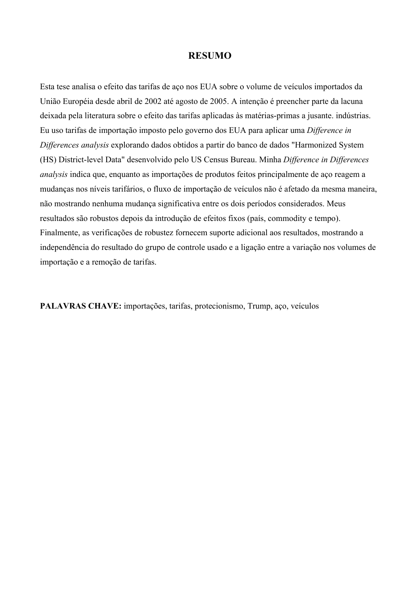#### **RESUMO**

Esta tese analisa o efeito das tarifas de aço nos EUA sobre o volume de veículos importados da União Européia desde abril de 2002 até agosto de 2005. A intenção é preencher parte da lacuna deixada pela literatura sobre o efeito das tarifas aplicadas às matérias-primas a jusante. indústrias. Eu uso tarifas de importação imposto pelo governo dos EUA para aplicar uma *Difference in Differences analysis* explorando dados obtidos a partir do banco de dados "Harmonized System (HS) District-level Data" desenvolvido pelo US Census Bureau. Minha *Difference in Differences analysis* indica que, enquanto as importações de produtos feitos principalmente de aço reagem a mudanças nos níveis tarifários, o fluxo de importação de veículos não é afetado da mesma maneira, não mostrando nenhuma mudança significativa entre os dois períodos considerados. Meus resultados são robustos depois da introdução de efeitos fixos (país, commodity e tempo). Finalmente, as verificações de robustez fornecem suporte adicional aos resultados, mostrando a independência do resultado do grupo de controle usado e a ligação entre a variação nos volumes de importação e a remoção de tarifas.

**PALAVRAS CHAVE:** importações, tarifas, protecionismo, Trump, aço, veículos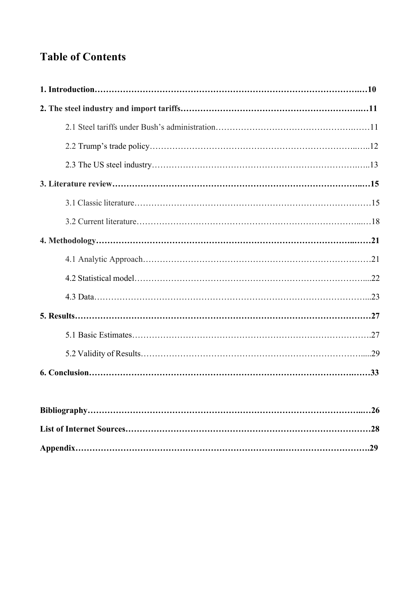# **Table of Contents**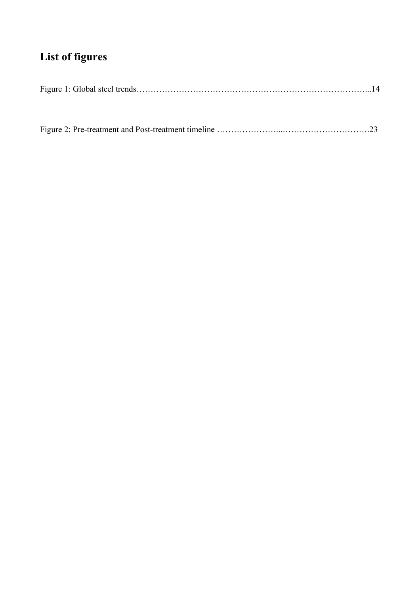# **List of figures**

|--|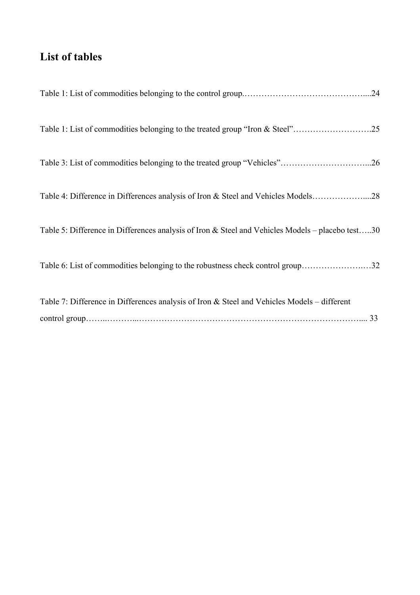# **List of tables**

| Table 3: List of commodities belonging to the treated group "Vehicles"26                         |
|--------------------------------------------------------------------------------------------------|
| Table 4: Difference in Differences analysis of Iron & Steel and Vehicles Models28                |
| Table 5: Difference in Differences analysis of Iron & Steel and Vehicles Models - placebo test30 |
| Table 6: List of commodities belonging to the robustness check control group32                   |
| Table 7: Difference in Differences analysis of Iron & Steel and Vehicles Models – different      |
|                                                                                                  |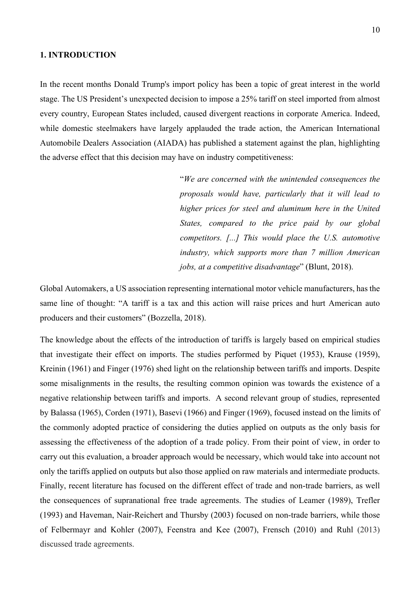#### **1. INTRODUCTION**

In the recent months Donald Trump's import policy has been a topic of great interest in the world stage. The US President's unexpected decision to impose a 25% tariff on steel imported from almost every country, European States included, caused divergent reactions in corporate America. Indeed, while domestic steelmakers have largely applauded the trade action, the American International Automobile Dealers Association (AIADA) has published a statement against the plan, highlighting the adverse effect that this decision may have on industry competitiveness:

> "*We are concerned with the unintended consequences the proposals would have, particularly that it will lead to higher prices for steel and aluminum here in the United States, compared to the price paid by our global competitors. [...] This would place the U.S. automotive industry, which supports more than 7 million American jobs, at a competitive disadvantage*" (Blunt, 2018).

Global Automakers, a US association representing international motor vehicle manufacturers, has the same line of thought: "A tariff is a tax and this action will raise prices and hurt American auto producers and their customers" (Bozzella, 2018).

The knowledge about the effects of the introduction of tariffs is largely based on empirical studies that investigate their effect on imports. The studies performed by Piquet (1953), Krause (1959), Kreinin (1961) and Finger (1976) shed light on the relationship between tariffs and imports. Despite some misalignments in the results, the resulting common opinion was towards the existence of a negative relationship between tariffs and imports. A second relevant group of studies, represented by Balassa (1965), Corden (1971), Basevi (1966) and Finger (1969), focused instead on the limits of the commonly adopted practice of considering the duties applied on outputs as the only basis for assessing the effectiveness of the adoption of a trade policy. From their point of view, in order to carry out this evaluation, a broader approach would be necessary, which would take into account not only the tariffs applied on outputs but also those applied on raw materials and intermediate products. Finally, recent literature has focused on the different effect of trade and non-trade barriers, as well the consequences of supranational free trade agreements. The studies of Leamer (1989), Trefler (1993) and Haveman, Nair-Reichert and Thursby (2003) focused on non-trade barriers, while those of Felbermayr and Kohler (2007), Feenstra and Kee (2007), Frensch (2010) and Ruhl (2013) discussed trade agreements.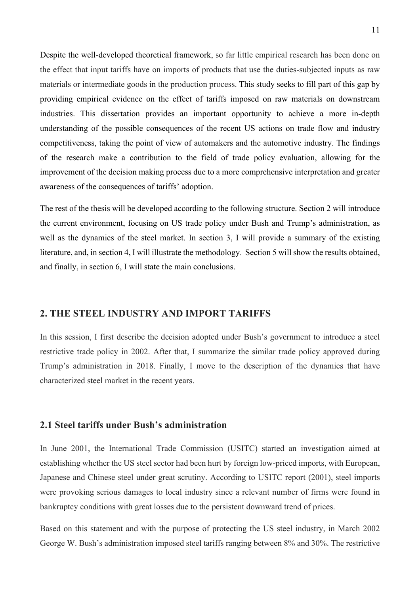Despite the well-developed theoretical framework, so far little empirical research has been done on the effect that input tariffs have on imports of products that use the duties-subjected inputs as raw materials or intermediate goods in the production process. This study seeks to fill part of this gap by providing empirical evidence on the effect of tariffs imposed on raw materials on downstream industries. This dissertation provides an important opportunity to achieve a more in-depth understanding of the possible consequences of the recent US actions on trade flow and industry competitiveness, taking the point of view of automakers and the automotive industry. The findings of the research make a contribution to the field of trade policy evaluation, allowing for the improvement of the decision making process due to a more comprehensive interpretation and greater awareness of the consequences of tariffs' adoption.

The rest of the thesis will be developed according to the following structure. Section 2 will introduce the current environment, focusing on US trade policy under Bush and Trump's administration, as well as the dynamics of the steel market. In section 3, I will provide a summary of the existing literature, and, in section 4, I will illustrate the methodology. Section 5 will show the results obtained, and finally, in section 6, I will state the main conclusions.

### **2. THE STEEL INDUSTRY AND IMPORT TARIFFS**

In this session, I first describe the decision adopted under Bush's government to introduce a steel restrictive trade policy in 2002. After that, I summarize the similar trade policy approved during Trump's administration in 2018. Finally, I move to the description of the dynamics that have characterized steel market in the recent years.

#### **2.1 Steel tariffs under Bush's administration**

In June 2001, the International Trade Commission (USITC) started an investigation aimed at establishing whether the US steel sector had been hurt by foreign low-priced imports, with European, Japanese and Chinese steel under great scrutiny. According to USITC report (2001), steel imports were provoking serious damages to local industry since a relevant number of firms were found in bankruptcy conditions with great losses due to the persistent downward trend of prices.

Based on this statement and with the purpose of protecting the US steel industry, in March 2002 George W. Bush's administration imposed steel tariffs ranging between 8% and 30%. The restrictive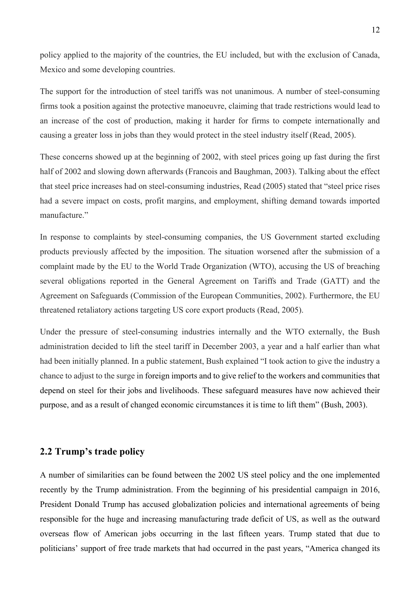policy applied to the majority of the countries, the EU included, but with the exclusion of Canada, Mexico and some developing countries.

The support for the introduction of steel tariffs was not unanimous. A number of steel-consuming firms took a position against the protective manoeuvre, claiming that trade restrictions would lead to an increase of the cost of production, making it harder for firms to compete internationally and causing a greater loss in jobs than they would protect in the steel industry itself (Read, 2005).

These concerns showed up at the beginning of 2002, with steel prices going up fast during the first half of 2002 and slowing down afterwards (Francois and Baughman, 2003). Talking about the effect that steel price increases had on steel-consuming industries, Read (2005) stated that "steel price rises had a severe impact on costs, profit margins, and employment, shifting demand towards imported manufacture."

In response to complaints by steel-consuming companies, the US Government started excluding products previously affected by the imposition. The situation worsened after the submission of a complaint made by the EU to the World Trade Organization (WTO), accusing the US of breaching several obligations reported in the General Agreement on Tariffs and Trade (GATT) and the Agreement on Safeguards (Commission of the European Communities, 2002). Furthermore, the EU threatened retaliatory actions targeting US core export products (Read, 2005).

Under the pressure of steel-consuming industries internally and the WTO externally, the Bush administration decided to lift the steel tariff in December 2003, a year and a half earlier than what had been initially planned. In a public statement, Bush explained "I took action to give the industry a chance to adjust to the surge in foreign imports and to give relief to the workers and communities that depend on steel for their jobs and livelihoods. These safeguard measures have now achieved their purpose, and as a result of changed economic circumstances it is time to lift them" (Bush, 2003).

#### **2.2 Trump's trade policy**

A number of similarities can be found between the 2002 US steel policy and the one implemented recently by the Trump administration. From the beginning of his presidential campaign in 2016, President Donald Trump has accused globalization policies and international agreements of being responsible for the huge and increasing manufacturing trade deficit of US, as well as the outward overseas flow of American jobs occurring in the last fifteen years. Trump stated that due to politicians' support of free trade markets that had occurred in the past years, "America changed its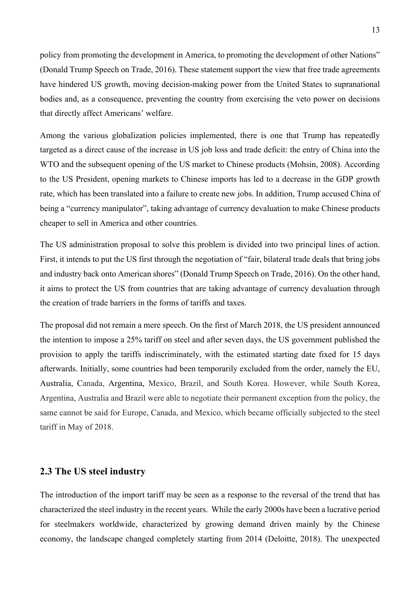policy from promoting the development in America, to promoting the development of other Nations" (Donald Trump Speech on Trade, 2016). These statement support the view that free trade agreements have hindered US growth, moving decision-making power from the United States to supranational bodies and, as a consequence, preventing the country from exercising the veto power on decisions that directly affect Americans' welfare.

Among the various globalization policies implemented, there is one that Trump has repeatedly targeted as a direct cause of the increase in US job loss and trade deficit: the entry of China into the WTO and the subsequent opening of the US market to Chinese products (Mohsin, 2008). According to the US President, opening markets to Chinese imports has led to a decrease in the GDP growth rate, which has been translated into a failure to create new jobs. In addition, Trump accused China of being a "currency manipulator", taking advantage of currency devaluation to make Chinese products cheaper to sell in America and other countries.

The US administration proposal to solve this problem is divided into two principal lines of action. First, it intends to put the US first through the negotiation of "fair, bilateral trade deals that bring jobs and industry back onto American shores" (Donald Trump Speech on Trade, 2016). On the other hand, it aims to protect the US from countries that are taking advantage of currency devaluation through the creation of trade barriers in the forms of tariffs and taxes.

The proposal did not remain a mere speech. On the first of March 2018, the US president announced the intention to impose a 25% tariff on steel and after seven days, the US government published the provision to apply the tariffs indiscriminately, with the estimated starting date fixed for 15 days afterwards. Initially, some countries had been temporarily excluded from the order, namely the EU, Australia, Canada, Argentina, Mexico, Brazil, and South Korea. However, while South Korea, Argentina, Australia and Brazil were able to negotiate their permanent exception from the policy, the same cannot be said for Europe, Canada, and Mexico, which became officially subjected to the steel tariff in May of 2018.

### **2.3 The US steel industry**

The introduction of the import tariff may be seen as a response to the reversal of the trend that has characterized the steel industry in the recent years. While the early 2000s have been a lucrative period for steelmakers worldwide, characterized by growing demand driven mainly by the Chinese economy, the landscape changed completely starting from 2014 (Deloitte, 2018). The unexpected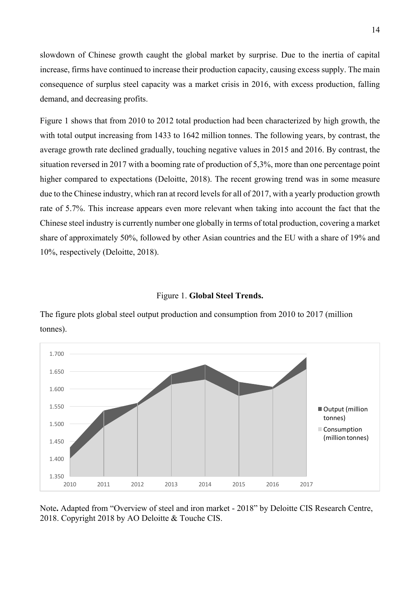slowdown of Chinese growth caught the global market by surprise. Due to the inertia of capital increase, firms have continued to increase their production capacity, causing excess supply. The main consequence of surplus steel capacity was a market crisis in 2016, with excess production, falling demand, and decreasing profits.

Figure 1 shows that from 2010 to 2012 total production had been characterized by high growth, the with total output increasing from 1433 to 1642 million tonnes. The following years, by contrast, the average growth rate declined gradually, touching negative values in 2015 and 2016. By contrast, the situation reversed in 2017 with a booming rate of production of 5,3%, more than one percentage point higher compared to expectations (Deloitte, 2018). The recent growing trend was in some measure due to the Chinese industry, which ran at record levels for all of 2017, with a yearly production growth rate of 5.7%. This increase appears even more relevant when taking into account the fact that the Chinese steel industry is currently number one globally in terms of total production, covering a market share of approximately 50%, followed by other Asian countries and the EU with a share of 19% and 10%, respectively (Deloitte, 2018).

#### Figure 1. **Global Steel Trends.**

The figure plots global steel output production and consumption from 2010 to 2017 (million tonnes).



Note**.** Adapted from "Overview of steel and iron market - 2018" by Deloitte CIS Research Centre, 2018. Copyright 2018 by AO Deloitte & Touche CIS.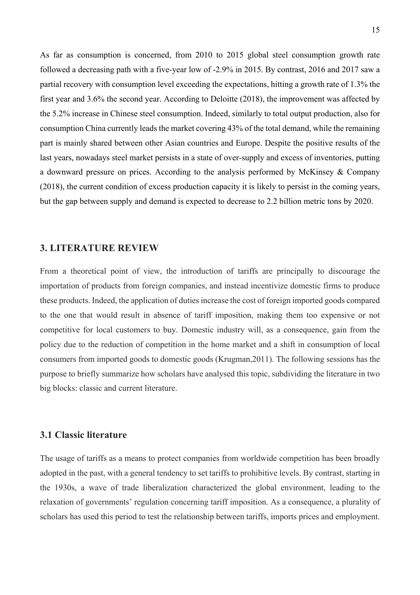As far as consumption is concerned, from 2010 to 2015 global steel consumption growth rate followed a decreasing path with a five-year low of -2.9% in 2015. By contrast, 2016 and 2017 saw a partial recovery with consumption level exceeding the expectations, hitting a growth rate of 1.3% the first year and 3.6% the second year. According to Deloitte (2018), the improvement was affected by the 5.2% increase in Chinese steel consumption. Indeed, similarly to total output production, also for consumption China currently leads the market covering 43% of the total demand, while the remaining part is mainly shared between other Asian countries and Europe. Despite the positive results of the last years, nowadays steel market persists in a state of over-supply and excess of inventories, putting a downward pressure on prices. According to the analysis performed by McKinsey & Company (2018), the current condition of excess production capacity it is likely to persist in the coming years, but the gap between supply and demand is expected to decrease to 2.2 billion metric tons by 2020.

#### **3. LITERATURE REVIEW**

From a theoretical point of view, the introduction of tariffs are principally to discourage the importation of products from foreign companies, and instead incentivize domestic firms to produce these products. Indeed, the application of duties increase the cost of foreign imported goods compared to the one that would result in absence of tariff imposition, making them too expensive or not competitive for local customers to buy. Domestic industry will, as a consequence, gain from the policy due to the reduction of competition in the home market and a shift in consumption of local consumers from imported goods to domestic goods (Krugman,2011). The following sessions has the purpose to briefly summarize how scholars have analysed this topic, subdividing the literature in two big blocks: classic and current literature.

#### **3.1 Classic literature**

The usage of tariffs as a means to protect companies from worldwide competition has been broadly adopted in the past, with a general tendency to set tariffs to prohibitive levels. By contrast, starting in the 1930s, a wave of trade liberalization characterized the global environment, leading to the relaxation of governments' regulation concerning tariff imposition. As a consequence, a plurality of scholars has used this period to test the relationship between tariffs, imports prices and employment.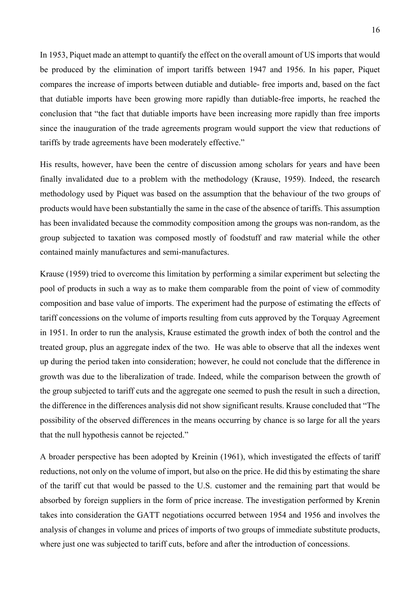In 1953, Piquet made an attempt to quantify the effect on the overall amount of US imports that would be produced by the elimination of import tariffs between 1947 and 1956. In his paper, Piquet compares the increase of imports between dutiable and dutiable- free imports and, based on the fact that dutiable imports have been growing more rapidly than dutiable-free imports, he reached the conclusion that "the fact that dutiable imports have been increasing more rapidly than free imports since the inauguration of the trade agreements program would support the view that reductions of tariffs by trade agreements have been moderately effective."

His results, however, have been the centre of discussion among scholars for years and have been finally invalidated due to a problem with the methodology (Krause, 1959). Indeed, the research methodology used by Piquet was based on the assumption that the behaviour of the two groups of products would have been substantially the same in the case of the absence of tariffs. This assumption has been invalidated because the commodity composition among the groups was non-random, as the group subjected to taxation was composed mostly of foodstuff and raw material while the other contained mainly manufactures and semi-manufactures.

Krause (1959) tried to overcome this limitation by performing a similar experiment but selecting the pool of products in such a way as to make them comparable from the point of view of commodity composition and base value of imports. The experiment had the purpose of estimating the effects of tariff concessions on the volume of imports resulting from cuts approved by the Torquay Agreement in 1951. In order to run the analysis, Krause estimated the growth index of both the control and the treated group, plus an aggregate index of the two. He was able to observe that all the indexes went up during the period taken into consideration; however, he could not conclude that the difference in growth was due to the liberalization of trade. Indeed, while the comparison between the growth of the group subjected to tariff cuts and the aggregate one seemed to push the result in such a direction, the difference in the differences analysis did not show significant results. Krause concluded that "The possibility of the observed differences in the means occurring by chance is so large for all the years that the null hypothesis cannot be rejected."

A broader perspective has been adopted by Kreinin (1961), which investigated the effects of tariff reductions, not only on the volume of import, but also on the price. He did this by estimating the share of the tariff cut that would be passed to the U.S. customer and the remaining part that would be absorbed by foreign suppliers in the form of price increase. The investigation performed by Krenin takes into consideration the GATT negotiations occurred between 1954 and 1956 and involves the analysis of changes in volume and prices of imports of two groups of immediate substitute products, where just one was subjected to tariff cuts, before and after the introduction of concessions.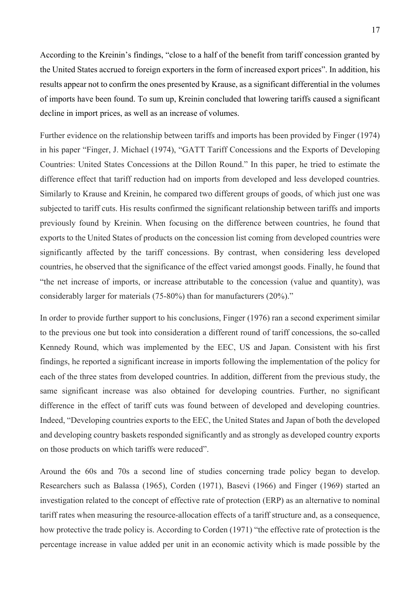According to the Kreinin's findings, "close to a half of the benefit from tariff concession granted by the United States accrued to foreign exporters in the form of increased export prices". In addition, his results appear not to confirm the ones presented by Krause, as a significant differential in the volumes of imports have been found. To sum up, Kreinin concluded that lowering tariffs caused a significant decline in import prices, as well as an increase of volumes.

Further evidence on the relationship between tariffs and imports has been provided by Finger (1974) in his paper "Finger, J. Michael (1974), "GATT Tariff Concessions and the Exports of Developing Countries: United States Concessions at the Dillon Round." In this paper, he tried to estimate the difference effect that tariff reduction had on imports from developed and less developed countries. Similarly to Krause and Kreinin, he compared two different groups of goods, of which just one was subjected to tariff cuts. His results confirmed the significant relationship between tariffs and imports previously found by Kreinin. When focusing on the difference between countries, he found that exports to the United States of products on the concession list coming from developed countries were significantly affected by the tariff concessions. By contrast, when considering less developed countries, he observed that the significance of the effect varied amongst goods. Finally, he found that "the net increase of imports, or increase attributable to the concession (value and quantity), was considerably larger for materials (75-80%) than for manufacturers (20%)."

In order to provide further support to his conclusions, Finger (1976) ran a second experiment similar to the previous one but took into consideration a different round of tariff concessions, the so-called Kennedy Round, which was implemented by the EEC, US and Japan. Consistent with his first findings, he reported a significant increase in imports following the implementation of the policy for each of the three states from developed countries. In addition, different from the previous study, the same significant increase was also obtained for developing countries. Further, no significant difference in the effect of tariff cuts was found between of developed and developing countries. Indeed, "Developing countries exports to the EEC, the United States and Japan of both the developed and developing country baskets responded significantly and as strongly as developed country exports on those products on which tariffs were reduced".

Around the 60s and 70s a second line of studies concerning trade policy began to develop. Researchers such as Balassa (1965), Corden (1971), Basevi (1966) and Finger (1969) started an investigation related to the concept of effective rate of protection (ERP) as an alternative to nominal tariff rates when measuring the resource-allocation effects of a tariff structure and, as a consequence, how protective the trade policy is. According to Corden (1971) "the effective rate of protection is the percentage increase in value added per unit in an economic activity which is made possible by the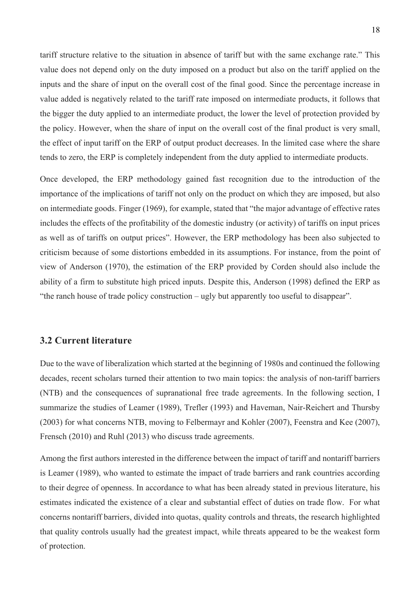tariff structure relative to the situation in absence of tariff but with the same exchange rate." This value does not depend only on the duty imposed on a product but also on the tariff applied on the inputs and the share of input on the overall cost of the final good. Since the percentage increase in value added is negatively related to the tariff rate imposed on intermediate products, it follows that the bigger the duty applied to an intermediate product, the lower the level of protection provided by the policy. However, when the share of input on the overall cost of the final product is very small, the effect of input tariff on the ERP of output product decreases. In the limited case where the share tends to zero, the ERP is completely independent from the duty applied to intermediate products.

Once developed, the ERP methodology gained fast recognition due to the introduction of the importance of the implications of tariff not only on the product on which they are imposed, but also on intermediate goods. Finger (1969), for example, stated that "the major advantage of effective rates includes the effects of the profitability of the domestic industry (or activity) of tariffs on input prices as well as of tariffs on output prices". However, the ERP methodology has been also subjected to criticism because of some distortions embedded in its assumptions. For instance, from the point of view of Anderson (1970), the estimation of the ERP provided by Corden should also include the ability of a firm to substitute high priced inputs. Despite this, Anderson (1998) defined the ERP as "the ranch house of trade policy construction – ugly but apparently too useful to disappear".

## **3.2 Current literature**

Due to the wave of liberalization which started at the beginning of 1980s and continued the following decades, recent scholars turned their attention to two main topics: the analysis of non-tariff barriers (NTB) and the consequences of supranational free trade agreements. In the following section, I summarize the studies of Leamer (1989), Trefler (1993) and Haveman, Nair-Reichert and Thursby (2003) for what concerns NTB, moving to Felbermayr and Kohler (2007), Feenstra and Kee (2007), Frensch (2010) and Ruhl (2013) who discuss trade agreements.

Among the first authors interested in the difference between the impact of tariff and nontariff barriers is Leamer (1989), who wanted to estimate the impact of trade barriers and rank countries according to their degree of openness. In accordance to what has been already stated in previous literature, his estimates indicated the existence of a clear and substantial effect of duties on trade flow. For what concerns nontariff barriers, divided into quotas, quality controls and threats, the research highlighted that quality controls usually had the greatest impact, while threats appeared to be the weakest form of protection.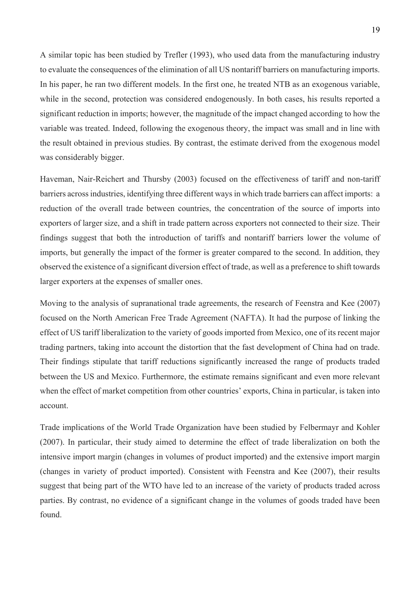A similar topic has been studied by Trefler (1993), who used data from the manufacturing industry to evaluate the consequences of the elimination of all US nontariff barriers on manufacturing imports. In his paper, he ran two different models. In the first one, he treated NTB as an exogenous variable, while in the second, protection was considered endogenously. In both cases, his results reported a significant reduction in imports; however, the magnitude of the impact changed according to how the variable was treated. Indeed, following the exogenous theory, the impact was small and in line with the result obtained in previous studies. By contrast, the estimate derived from the exogenous model was considerably bigger.

Haveman, Nair-Reichert and Thursby (2003) focused on the effectiveness of tariff and non-tariff barriers across industries, identifying three different ways in which trade barriers can affect imports: a reduction of the overall trade between countries, the concentration of the source of imports into exporters of larger size, and a shift in trade pattern across exporters not connected to their size. Their findings suggest that both the introduction of tariffs and nontariff barriers lower the volume of imports, but generally the impact of the former is greater compared to the second. In addition, they observed the existence of a significant diversion effect of trade, as well as a preference to shift towards larger exporters at the expenses of smaller ones.

Moving to the analysis of supranational trade agreements, the research of Feenstra and Kee (2007) focused on the North American Free Trade Agreement (NAFTA). It had the purpose of linking the effect of US tariff liberalization to the variety of goods imported from Mexico, one of its recent major trading partners, taking into account the distortion that the fast development of China had on trade. Their findings stipulate that tariff reductions significantly increased the range of products traded between the US and Mexico. Furthermore, the estimate remains significant and even more relevant when the effect of market competition from other countries' exports, China in particular, is taken into account.

Trade implications of the World Trade Organization have been studied by Felbermayr and Kohler (2007). In particular, their study aimed to determine the effect of trade liberalization on both the intensive import margin (changes in volumes of product imported) and the extensive import margin (changes in variety of product imported). Consistent with Feenstra and Kee (2007), their results suggest that being part of the WTO have led to an increase of the variety of products traded across parties. By contrast, no evidence of a significant change in the volumes of goods traded have been found.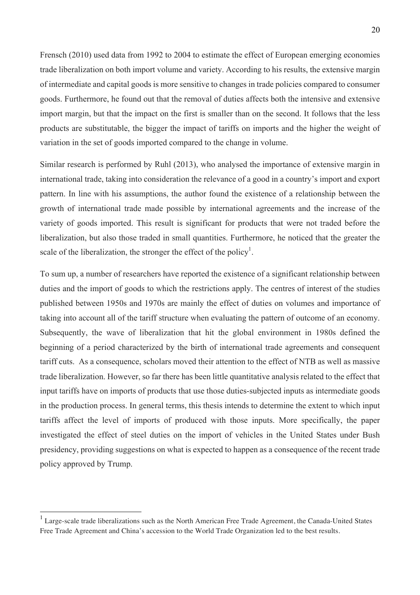Frensch (2010) used data from 1992 to 2004 to estimate the effect of European emerging economies trade liberalization on both import volume and variety. According to his results, the extensive margin of intermediate and capital goods is more sensitive to changes in trade policies compared to consumer goods. Furthermore, he found out that the removal of duties affects both the intensive and extensive import margin, but that the impact on the first is smaller than on the second. It follows that the less products are substitutable, the bigger the impact of tariffs on imports and the higher the weight of variation in the set of goods imported compared to the change in volume.

Similar research is performed by Ruhl (2013), who analysed the importance of extensive margin in international trade, taking into consideration the relevance of a good in a country's import and export pattern. In line with his assumptions, the author found the existence of a relationship between the growth of international trade made possible by international agreements and the increase of the variety of goods imported. This result is significant for products that were not traded before the liberalization, but also those traded in small quantities. Furthermore, he noticed that the greater the scale of the liberalization, the stronger the effect of the policy<sup>1</sup>.

To sum up, a number of researchers have reported the existence of a significant relationship between duties and the import of goods to which the restrictions apply. The centres of interest of the studies published between 1950s and 1970s are mainly the effect of duties on volumes and importance of taking into account all of the tariff structure when evaluating the pattern of outcome of an economy. Subsequently, the wave of liberalization that hit the global environment in 1980s defined the beginning of a period characterized by the birth of international trade agreements and consequent tariff cuts. As a consequence, scholars moved their attention to the effect of NTB as well as massive trade liberalization. However, so far there has been little quantitative analysis related to the effect that input tariffs have on imports of products that use those duties-subjected inputs as intermediate goods in the production process. In general terms, this thesis intends to determine the extent to which input tariffs affect the level of imports of produced with those inputs. More specifically, the paper investigated the effect of steel duties on the import of vehicles in the United States under Bush presidency, providing suggestions on what is expected to happen as a consequence of the recent trade policy approved by Trump.

<sup>&</sup>lt;sup>1</sup> Large-scale trade liberalizations such as the North American Free Trade Agreement, the Canada-United States Free Trade Agreement and China's accession to the World Trade Organization led to the best results.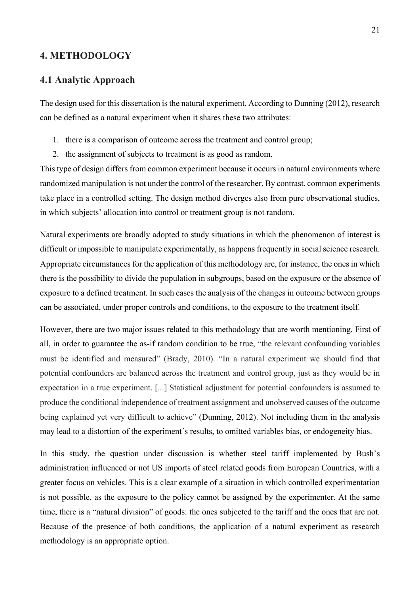## **4. METHODOLOGY**

#### **4.1 Analytic Approach**

The design used for this dissertation is the natural experiment. According to Dunning (2012), research can be defined as a natural experiment when it shares these two attributes:

- 1. there is a comparison of outcome across the treatment and control group;
- 2. the assignment of subjects to treatment is as good as random.

This type of design differs from common experiment because it occurs in natural environments where randomized manipulation is not under the control of the researcher. By contrast, common experiments take place in a controlled setting. The design method diverges also from pure observational studies, in which subjects' allocation into control or treatment group is not random.

Natural experiments are broadly adopted to study situations in which the phenomenon of interest is difficult or impossible to manipulate experimentally, as happens frequently in social science research. Appropriate circumstances for the application of this methodology are, for instance, the ones in which there is the possibility to divide the population in subgroups, based on the exposure or the absence of exposure to a defined treatment. In such cases the analysis of the changes in outcome between groups can be associated, under proper controls and conditions, to the exposure to the treatment itself.

However, there are two major issues related to this methodology that are worth mentioning. First of all, in order to guarantee the as-if random condition to be true, "the relevant confounding variables must be identified and measured" (Brady, 2010). "In a natural experiment we should find that potential confounders are balanced across the treatment and control group, just as they would be in expectation in a true experiment. [...] Statistical adjustment for potential confounders is assumed to produce the conditional independence of treatment assignment and unobserved causes of the outcome being explained yet very difficult to achieve" (Dunning, 2012). Not including them in the analysis may lead to a distortion of the experiment´s results, to omitted variables bias, or endogeneity bias.

In this study, the question under discussion is whether steel tariff implemented by Bush's administration influenced or not US imports of steel related goods from European Countries, with a greater focus on vehicles. This is a clear example of a situation in which controlled experimentation is not possible, as the exposure to the policy cannot be assigned by the experimenter. At the same time, there is a "natural division" of goods: the ones subjected to the tariff and the ones that are not. Because of the presence of both conditions, the application of a natural experiment as research methodology is an appropriate option.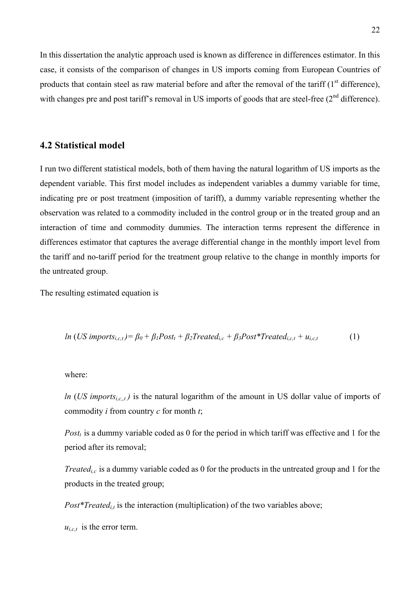In this dissertation the analytic approach used is known as difference in differences estimator. In this case, it consists of the comparison of changes in US imports coming from European Countries of products that contain steel as raw material before and after the removal of the tariff  $(1<sup>st</sup>$  difference), with changes pre and post tariff's removal in US imports of goods that are steel-free (2<sup>nd</sup> difference).

#### **4.2 Statistical model**

I run two different statistical models, both of them having the natural logarithm of US imports as the dependent variable. This first model includes as independent variables a dummy variable for time, indicating pre or post treatment (imposition of tariff), a dummy variable representing whether the observation was related to a commodity included in the control group or in the treated group and an interaction of time and commodity dummies. The interaction terms represent the difference in differences estimator that captures the average differential change in the monthly import level from the tariff and no-tariff period for the treatment group relative to the change in monthly imports for the untreated group.

The resulting estimated equation is

$$
ln (US import s_{i,c,t}) = \beta_0 + \beta_1 Post_t + \beta_2 Treated_{i,c} + \beta_3 Post*Treated_{i,c,t} + u_{i,c,t}
$$
 (1)

#### where:

*ln* (*US imports<sub>i,c,,t</sub>)* is the natural logarithm of the amount in US dollar value of imports of commodity *i* from country *c* for month *t*;

*Post<sub>t</sub>* is a dummy variable coded as 0 for the period in which tariff was effective and 1 for the period after its removal;

*Treated<sub>ic</sub>* is a dummy variable coded as 0 for the products in the untreated group and 1 for the products in the treated group;

 $Post*Treated_{i.t}$  is the interaction (multiplication) of the two variables above;

 $u_{i,c,t}$  is the error term.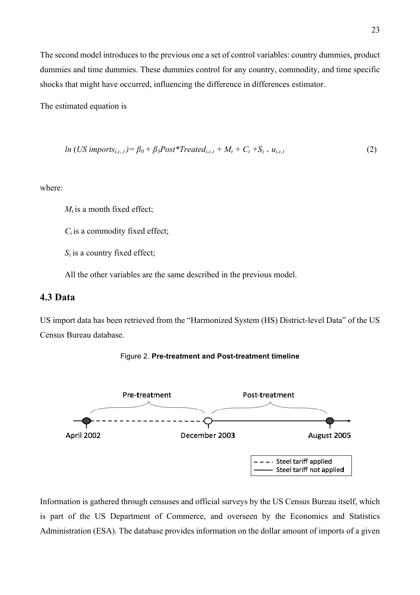The second model introduces to the previous one a set of control variables: country dummies, product dummies and time dummies. These dummies control for any country, commodity, and time specific shocks that might have occurred, influencing the difference in differences estimator.

The estimated equation is

$$
ln (US import s_{i,c,t}) = \beta_0 + \beta_3 Post*Treated_{i,c,t} + M_t + C_i + S_{z} + u_{i,c,t}
$$
\n(2)

where:

 $M_t$  is a month fixed effect;

*Ci* is a commodity fixed effect;

*Sz* is a country fixed effect;

All the other variables are the same described in the previous model.

## **4.3 Data**

US import data has been retrieved from the "Harmonized System (HS) District-level Data" of the US Census Bureau database.





Information is gathered through censuses and official surveys by the US Census Bureau itself, which is part of the US Department of Commerce, and overseen by the Economics and Statistics Administration (ESA). The database provides information on the dollar amount of imports of a given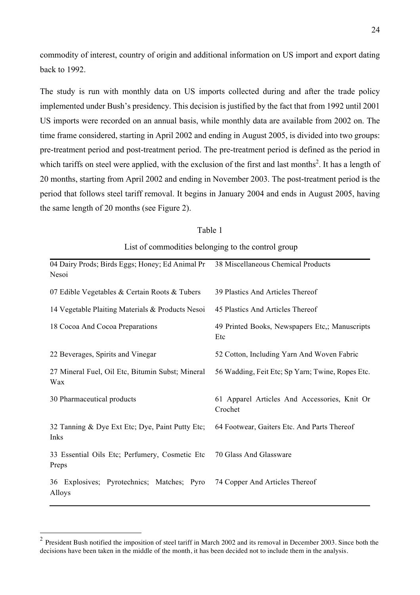commodity of interest, country of origin and additional information on US import and export dating back to 1992.

The study is run with monthly data on US imports collected during and after the trade policy implemented under Bush's presidency. This decision is justified by the fact that from 1992 until 2001 US imports were recorded on an annual basis, while monthly data are available from 2002 on. The time frame considered, starting in April 2002 and ending in August 2005, is divided into two groups: pre-treatment period and post-treatment period. The pre-treatment period is defined as the period in which tariffs on steel were applied, with the exclusion of the first and last months<sup>2</sup>. It has a length of 20 months, starting from April 2002 and ending in November 2003. The post-treatment period is the period that follows steel tariff removal. It begins in January 2004 and ends in August 2005, having the same length of 20 months (see Figure 2).

| 04 Dairy Prods; Birds Eggs; Honey; Ed Animal Pr<br>Nesoi | 38 Miscellaneous Chemical Products                      |
|----------------------------------------------------------|---------------------------------------------------------|
| 07 Edible Vegetables & Certain Roots & Tubers            | 39 Plastics And Articles Thereof                        |
| 14 Vegetable Plaiting Materials & Products Nesoi         | 45 Plastics And Articles Thereof                        |
| 18 Cocoa And Cocoa Preparations                          | 49 Printed Books, Newspapers Etc.; Manuscripts<br>Etc   |
| 22 Beverages, Spirits and Vinegar                        | 52 Cotton, Including Yarn And Woven Fabric              |
| 27 Mineral Fuel, Oil Etc, Bitumin Subst; Mineral<br>Wax  | 56 Wadding, Feit Etc; Sp Yarn; Twine, Ropes Etc.        |
| 30 Pharmaceutical products                               | 61 Apparel Articles And Accessories, Knit Or<br>Crochet |
| 32 Tanning & Dye Ext Etc; Dye, Paint Putty Etc;<br>Inks  | 64 Footwear, Gaiters Etc. And Parts Thereof             |
| 33 Essential Oils Etc; Perfumery, Cosmetic Etc<br>Preps  | 70 Glass And Glassware                                  |
| 36 Explosives; Pyrotechnics; Matches; Pyro<br>Alloys     | 74 Copper And Articles Thereof                          |

#### Table 1

List of commodities belonging to the control group

 $2$  President Bush notified the imposition of steel tariff in March 2002 and its removal in December 2003. Since both the decisions have been taken in the middle of the month, it has been decided not to include them in the analysis.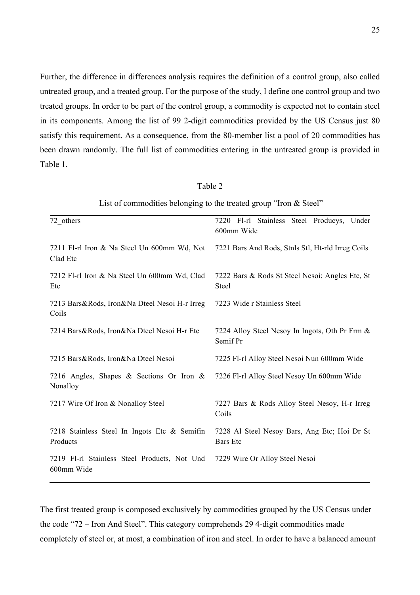Further, the difference in differences analysis requires the definition of a control group, also called untreated group, and a treated group. For the purpose of the study, I define one control group and two treated groups. In order to be part of the control group, a commodity is expected not to contain steel in its components. Among the list of 99 2-digit commodities provided by the US Census just 80 satisfy this requirement. As a consequence, from the 80-member list a pool of 20 commodities has been drawn randomly. The full list of commodities entering in the untreated group is provided in Table 1.

| n۱<br>. . |  |
|-----------|--|
|           |  |

| List of commodities belonging to the treated group "Iron $&$ Steel" |  |
|---------------------------------------------------------------------|--|
|                                                                     |  |

| 72 others                                                  | 7220 Fl-rl Stainless Steel Producys, Under<br>600mm Wide        |
|------------------------------------------------------------|-----------------------------------------------------------------|
| 7211 Fl-rl Iron & Na Steel Un 600mm Wd, Not<br>Clad Etc    | 7221 Bars And Rods, Stnls Stl, Ht-rld Irreg Coils               |
| 7212 Fl-rl Iron & Na Steel Un 600mm Wd, Clad<br>Etc        | 7222 Bars & Rods St Steel Nesoi; Angles Etc, St<br><b>Steel</b> |
| 7213 Bars&Rods, Iron&Na Dteel Nesoi H-r Irreg<br>Coils     | 7223 Wide r Stainless Steel                                     |
| 7214 Bars&Rods, Iron&Na Dteel Nesoi H-r Etc                | 7224 Alloy Steel Nesoy In Ingots, Oth Pr Frm &<br>Semif Pr      |
| 7215 Bars&Rods, Iron&Na Dteel Nesoi                        | 7225 Fl-rl Alloy Steel Nesoi Nun 600mm Wide                     |
| 7216 Angles, Shapes & Sections Or Iron &<br>Nonalloy       | 7226 Fl-rl Alloy Steel Nesoy Un 600mm Wide                      |
| 7217 Wire Of Iron & Nonalloy Steel                         | 7227 Bars & Rods Alloy Steel Nesoy, H-r Irreg<br>Coils          |
| 7218 Stainless Steel In Ingots Etc & Semifin<br>Products   | 7228 Al Steel Nesoy Bars, Ang Etc; Hoi Dr St<br><b>Bars</b> Etc |
| 7219 F1-rl Stainless Steel Products, Not Und<br>600mm Wide | 7229 Wire Or Alloy Steel Nesoi                                  |

The first treated group is composed exclusively by commodities grouped by the US Census under the code "72 – Iron And Steel". This category comprehends 29 4-digit commodities made completely of steel or, at most, a combination of iron and steel. In order to have a balanced amount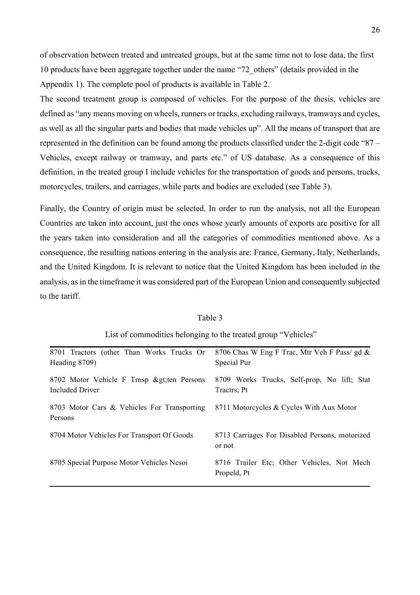of observation between treated and untreated groups, but at the same time not to lose data, the first 10 products have been aggregate together under the name "72\_others" (details provided in the Appendix 1). The complete pool of products is available in Table 2.

The second treatment group is composed of vehicles. For the purpose of the thesis, vehicles are defined as "any means moving on wheels, runners or tracks, excluding railways, tramways and cycles, as well as all the singular parts and bodies that made vehicles up". All the means of transport that are represented in the definition can be found among the products classified under the 2-digit code "87 – Vehicles, except railway or tramway, and parts etc." of US database. As a consequence of this definition, in the treated group I include vehicles for the transportation of goods and persons, trucks, motorcycles, trailers, and carriages, while parts and bodies are excluded (see Table 3).

Finally, the Country of origin must be selected. In order to run the analysis, not all the European Countries are taken into account, just the ones whose yearly amounts of exports are positive for all the years taken into consideration and all the categories of commodities mentioned above. As a consequence, the resulting nations entering in the analysis are: France, Germany, Italy, Netherlands, and the United Kingdom. It is relevant to notice that the United Kingdom has been included in the analysis, as in the timeframe it was considered part of the European Union and consequently subjected to the tariff.

| 8701 Tractors (other Than Works Trucks Or    | 8706 Chas W Eng F Trac, Mtr Veh F Pass/ gd &   |
|----------------------------------------------|------------------------------------------------|
| Heading 8709)                                | Special Pur                                    |
|                                              |                                                |
| 8702 Motor Vehicle F Trnsp & gt; ten Persons | 8709 Works Trucks, Self-prop, No lift; Stat    |
| Included Driver                              | Tractrs; Pt                                    |
|                                              |                                                |
| 8703 Motor Cars & Vehicles For Transporting  | 8711 Motorcycles & Cycles With Aux Motor       |
| Persons                                      |                                                |
|                                              |                                                |
| 8704 Motor Vehicles For Transport Of Goods   | 8713 Carriages For Disabled Persons, motorized |
|                                              |                                                |
|                                              | or not                                         |
|                                              |                                                |
| 8705 Special Purpose Motor Vehicles Nesoi    | 8716 Trailer Etc; Other Vehicles, Not Mech     |
|                                              | Propeld, Pt                                    |
|                                              |                                                |

Table 3

#### List of commodities belonging to the treated group "Vehicles"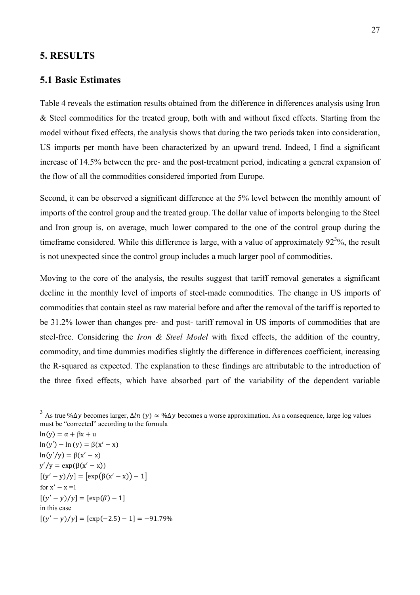#### **5. RESULTS**

#### **5.1 Basic Estimates**

Table 4 reveals the estimation results obtained from the difference in differences analysis using Iron & Steel commodities for the treated group, both with and without fixed effects. Starting from the model without fixed effects, the analysis shows that during the two periods taken into consideration, US imports per month have been characterized by an upward trend. Indeed, I find a significant increase of 14.5% between the pre- and the post-treatment period, indicating a general expansion of the flow of all the commodities considered imported from Europe.

Second, it can be observed a significant difference at the 5% level between the monthly amount of imports of the control group and the treated group. The dollar value of imports belonging to the Steel and Iron group is, on average, much lower compared to the one of the control group during the timeframe considered. While this difference is large, with a value of approximately  $92<sup>3</sup>%$ , the result is not unexpected since the control group includes a much larger pool of commodities.

Moving to the core of the analysis, the results suggest that tariff removal generates a significant decline in the monthly level of imports of steel-made commodities. The change in US imports of commodities that contain steel as raw material before and after the removal of the tariff is reported to be 31.2% lower than changes pre- and post- tariff removal in US imports of commodities that are steel-free. Considering the *Iron & Steel Model* with fixed effects, the addition of the country, commodity, and time dummies modifies slightly the difference in differences coefficient, increasing the R-squared as expected. The explanation to these findings are attributable to the introduction of the three fixed effects, which have absorbed part of the variability of the dependent variable

 $ln(y) = \alpha + \beta x + u$  $ln(y') - ln(y) = \beta(x'-x)$  $ln(y'/y) = \beta(x'-x)$  $y'/y = exp(\beta(x'-x))$  $[(y'-y)/y] = [\exp(\beta(x'-x))-1]$ for  $x' - x =1$  $[(y'-y)/y] = [\exp(\beta) - 1]$ in this case  $[(y'-y)/y] = [\exp(-2.5) - 1] = -91.79\%$ 

<sup>&</sup>lt;sup>3</sup> As true % $\Delta v$  becomes larger,  $\Delta ln (v) \approx$  % $\Delta v$  becomes a worse approximation. As a consequence, large log values must be "corrected" according to the formula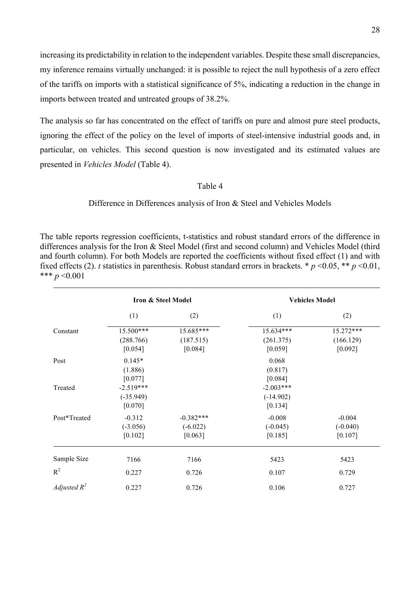increasing its predictability in relation to the independent variables. Despite these small discrepancies, my inference remains virtually unchanged: it is possible to reject the null hypothesis of a zero effect of the tariffs on imports with a statistical significance of 5%, indicating a reduction in the change in imports between treated and untreated groups of 38.2%.

The analysis so far has concentrated on the effect of tariffs on pure and almost pure steel products, ignoring the effect of the policy on the level of imports of steel-intensive industrial goods and, in particular, on vehicles. This second question is now investigated and its estimated values are presented in *Vehicles Model* (Table 4).

#### Table 4

Difference in Differences analysis of Iron & Steel and Vehicles Models

The table reports regression coefficients, t-statistics and robust standard errors of the difference in differences analysis for the Iron & Steel Model (first and second column) and Vehicles Model (third and fourth column). For both Models are reported the coefficients without fixed effect (1) and with fixed effects (2). *t* statistics in parenthesis. Robust standard errors in brackets. \* *p* <0.05, \*\* *p* <0.01, \*\*\* *p* <0.001

|                | <b>Iron &amp; Steel Model</b>         |                                      | <b>Vehicles Model</b>                 |                                   |
|----------------|---------------------------------------|--------------------------------------|---------------------------------------|-----------------------------------|
|                | (1)                                   | (2)                                  | (1)                                   | (2)                               |
| Constant       | 15.500***<br>(288.766)<br>[0.054]     | 15.685***<br>(187.515)<br>[0.084]    | 15.634***<br>(261.375)<br>[0.059]     | 15.272***<br>(166.129)<br>[0.092] |
| Post           | $0.145*$<br>(1.886)<br>[0.077]        |                                      | 0.068<br>(0.817)<br>[0.084]           |                                   |
| Treated        | $-2.519***$<br>$(-35.949)$<br>[0.070] |                                      | $-2.003***$<br>$(-14.902)$<br>[0.134] |                                   |
| Post*Treated   | $-0.312$<br>$(-3.056)$<br>[0.102]     | $-0.382***$<br>$(-6.022)$<br>[0.063] | $-0.008$<br>$(-0.045)$<br>[0.185]     | $-0.004$<br>$(-0.040)$<br>[0.107] |
| Sample Size    | 7166                                  | 7166                                 | 5423                                  | 5423                              |
| $R^2$          | 0.227                                 | 0.726                                | 0.107                                 | 0.729                             |
| Adjusted $R^2$ | 0.227                                 | 0.726                                | 0.106                                 | 0.727                             |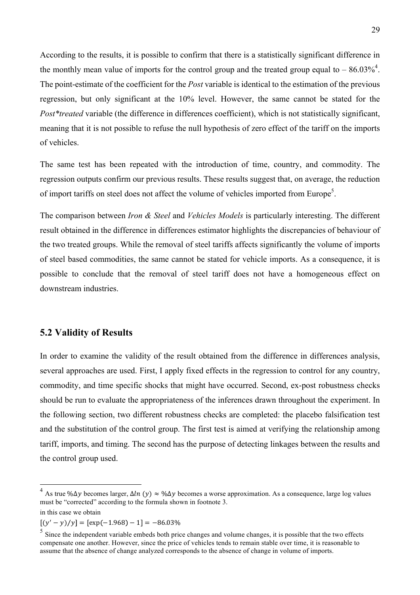According to the results, it is possible to confirm that there is a statistically significant difference in the monthly mean value of imports for the control group and the treated group equal to  $-86.03\%$ <sup>4</sup>. The point-estimate of the coefficient for the *Post* variable is identical to the estimation of the previous regression, but only significant at the 10% level. However, the same cannot be stated for the *Post\*treated* variable (the difference in differences coefficient), which is not statistically significant, meaning that it is not possible to refuse the null hypothesis of zero effect of the tariff on the imports of vehicles.

The same test has been repeated with the introduction of time, country, and commodity. The regression outputs confirm our previous results. These results suggest that, on average, the reduction of import tariffs on steel does not affect the volume of vehicles imported from Europe<sup>5</sup>.

The comparison between *Iron & Steel* and *Vehicles Models* is particularly interesting. The different result obtained in the difference in differences estimator highlights the discrepancies of behaviour of the two treated groups. While the removal of steel tariffs affects significantly the volume of imports of steel based commodities, the same cannot be stated for vehicle imports. As a consequence, it is possible to conclude that the removal of steel tariff does not have a homogeneous effect on downstream industries.

## **5.2 Validity of Results**

In order to examine the validity of the result obtained from the difference in differences analysis, several approaches are used. First, I apply fixed effects in the regression to control for any country, commodity, and time specific shocks that might have occurred. Second, ex-post robustness checks should be run to evaluate the appropriateness of the inferences drawn throughout the experiment. In the following section, two different robustness checks are completed: the placebo falsification test and the substitution of the control group. The first test is aimed at verifying the relationship among tariff, imports, and timing. The second has the purpose of detecting linkages between the results and the control group used.

<sup>&</sup>lt;sup>4</sup> As true % $\Delta v$  becomes larger,  $\Delta ln (v) \approx$  % $\Delta y$  becomes a worse approximation. As a consequence, large log values must be "corrected" according to the formula shown in footnote 3.

in this case we obtain

 $[(y'-y)/y] = [\exp(-1.968) - 1] = -86.03\%$ 

 $<sup>5</sup>$  Since the independent variable embeds both price changes and volume changes, it is possible that the two effects</sup> compensate one another. However, since the price of vehicles tends to remain stable over time, it is reasonable to assume that the absence of change analyzed corresponds to the absence of change in volume of imports.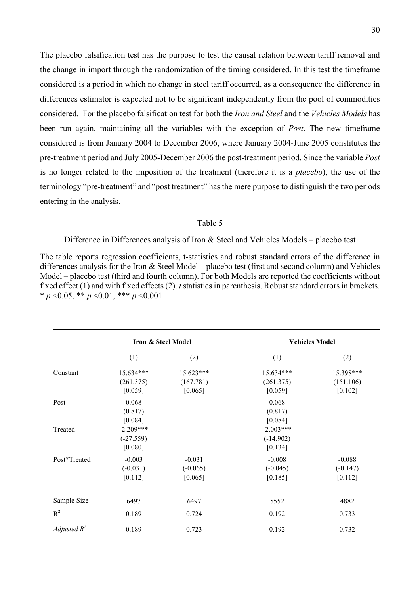The placebo falsification test has the purpose to test the causal relation between tariff removal and the change in import through the randomization of the timing considered. In this test the timeframe considered is a period in which no change in steel tariff occurred, as a consequence the difference in differences estimator is expected not to be significant independently from the pool of commodities considered. For the placebo falsification test for both the *Iron and Steel* and the *Vehicles Models* has been run again, maintaining all the variables with the exception of *Post*. The new timeframe considered is from January 2004 to December 2006, where January 2004-June 2005 constitutes the pre-treatment period and July 2005-December 2006 the post-treatment period. Since the variable *Post*  is no longer related to the imposition of the treatment (therefore it is a *placebo*), the use of the terminology "pre-treatment" and "post treatment" has the mere purpose to distinguish the two periods entering in the analysis.

#### Table 5

#### Difference in Differences analysis of Iron & Steel and Vehicles Models – placebo test

The table reports regression coefficients, t-statistics and robust standard errors of the difference in differences analysis for the Iron & Steel Model – placebo test (first and second column) and Vehicles Model – placebo test (third and fourth column). For both Models are reported the coefficients without fixed effect (1) and with fixed effects (2). *t* statistics in parenthesis. Robust standard errors in brackets. \* *p* <0.05, \*\* *p* <0.01, \*\*\* *p* <0.001

|                | <b>Iron &amp; Steel Model</b>     |                                   | <b>Vehicles Model</b>             |                                   |
|----------------|-----------------------------------|-----------------------------------|-----------------------------------|-----------------------------------|
|                | (1)                               | (2)                               | (1)                               | (2)                               |
| Constant       | 15.634***                         | 15.623***                         | 15.634***                         | 15.398***                         |
|                | (261.375)<br>[0.059]              | (167.781)<br>[0.065]              | (261.375)<br>[0.059]              | (151.106)<br>[0.102]              |
| Post           | 0.068<br>(0.817)                  |                                   | 0.068<br>(0.817)                  |                                   |
| Treated        | [0.084]<br>$-2.209***$            |                                   | [0.084]<br>$-2.003***$            |                                   |
|                | $(-27.559)$<br>[0.080]            |                                   | $(-14.902)$<br>[0.134]            |                                   |
| Post*Treated   | $-0.003$<br>$(-0.031)$<br>[0.112] | $-0.031$<br>$(-0.065)$<br>[0.065] | $-0.008$<br>$(-0.045)$<br>[0.185] | $-0.088$<br>$(-0.147)$<br>[0.112] |
| Sample Size    | 6497                              | 6497                              | 5552                              | 4882                              |
| $R^2$          | 0.189                             | 0.724                             | 0.192                             | 0.733                             |
| Adjusted $R^2$ | 0.189                             | 0.723                             | 0.192                             | 0.732                             |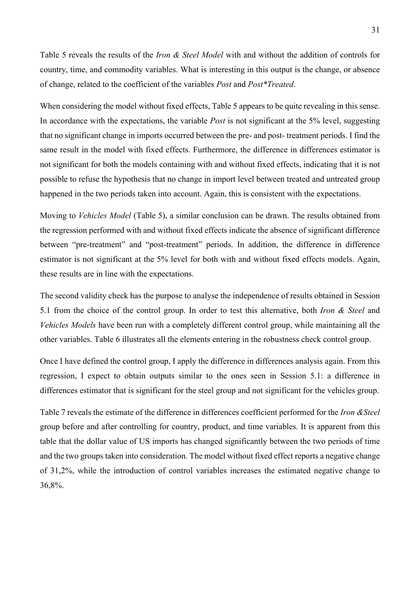Table 5 reveals the results of the *Iron & Steel Model* with and without the addition of controls for country, time, and commodity variables. What is interesting in this output is the change, or absence of change, related to the coefficient of the variables *Post* and *Post\*Treated*.

When considering the model without fixed effects, Table 5 appears to be quite revealing in this sense. In accordance with the expectations, the variable *Post* is not significant at the 5% level, suggesting that no significant change in imports occurred between the pre- and post- treatment periods. I find the same result in the model with fixed effects. Furthermore, the difference in differences estimator is not significant for both the models containing with and without fixed effects, indicating that it is not possible to refuse the hypothesis that no change in import level between treated and untreated group happened in the two periods taken into account. Again, this is consistent with the expectations.

Moving to *Vehicles Model* (Table 5), a similar conclusion can be drawn. The results obtained from the regression performed with and without fixed effects indicate the absence of significant difference between "pre-treatment" and "post-treatment" periods. In addition, the difference in difference estimator is not significant at the 5% level for both with and without fixed effects models. Again, these results are in line with the expectations.

The second validity check has the purpose to analyse the independence of results obtained in Session 5.1 from the choice of the control group. In order to test this alternative, both *Iron & Steel* and *Vehicles Models* have been run with a completely different control group, while maintaining all the other variables. Table 6 illustrates all the elements entering in the robustness check control group.

Once I have defined the control group, I apply the difference in differences analysis again. From this regression, I expect to obtain outputs similar to the ones seen in Session 5.1: a difference in differences estimator that is significant for the steel group and not significant for the vehicles group.

Table 7 reveals the estimate of the difference in differences coefficient performed for the *Iron &Steel* group before and after controlling for country, product, and time variables. It is apparent from this table that the dollar value of US imports has changed significantly between the two periods of time and the two groups taken into consideration. The model without fixed effect reports a negative change of 31,2%, while the introduction of control variables increases the estimated negative change to 36,8%.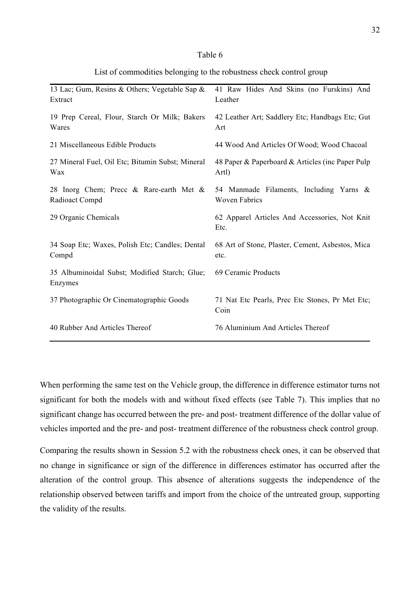#### Table 6

| List of commodities belonging to the robustness check control group |  |  |
|---------------------------------------------------------------------|--|--|
|                                                                     |  |  |

| 13 Lac; Gum, Resins & Others; Vegetable Sap &            | 41 Raw Hides And Skins (no Furskins) And                |  |
|----------------------------------------------------------|---------------------------------------------------------|--|
| Extract                                                  | Leather                                                 |  |
| 19 Prep Cereal, Flour, Starch Or Milk; Bakers            | 42 Leather Art; Saddlery Etc; Handbags Etc; Gut         |  |
| Wares                                                    | Art                                                     |  |
| 21 Miscellaneous Edible Products                         | 44 Wood And Articles Of Wood; Wood Chacoal              |  |
| 27 Mineral Fuel, Oil Etc; Bitumin Subst; Mineral         | 48 Paper & Paperboard & Articles (inc Paper Pulp        |  |
| Wax                                                      | Artl)                                                   |  |
| 28 Inorg Chem; Precc & Rare-earth Met &                  | 54 Manmade Filaments, Including Yarns &                 |  |
| Radioact Compd                                           | <b>Woven Fabrics</b>                                    |  |
| 29 Organic Chemicals                                     | 62 Apparel Articles And Accessories, Not Knit<br>Etc.   |  |
| 34 Soap Etc; Waxes, Polish Etc; Candles; Dental          | 68 Art of Stone, Plaster, Cement, Asbestos, Mica        |  |
| Compd                                                    | etc.                                                    |  |
| 35 Albuminoidal Subst; Modified Starch; Glue;<br>Enzymes | 69 Ceramic Products                                     |  |
| 37 Photographic Or Cinematographic Goods                 | 71 Nat Etc Pearls, Prec Etc Stones, Pr Met Etc;<br>Coin |  |
| 40 Rubber And Articles Thereof                           | 76 Aluminium And Articles Thereof                       |  |

When performing the same test on the Vehicle group, the difference in difference estimator turns not significant for both the models with and without fixed effects (see Table 7). This implies that no significant change has occurred between the pre- and post- treatment difference of the dollar value of vehicles imported and the pre- and post- treatment difference of the robustness check control group.

Comparing the results shown in Session 5.2 with the robustness check ones, it can be observed that no change in significance or sign of the difference in differences estimator has occurred after the alteration of the control group. This absence of alterations suggests the independence of the relationship observed between tariffs and import from the choice of the untreated group, supporting the validity of the results.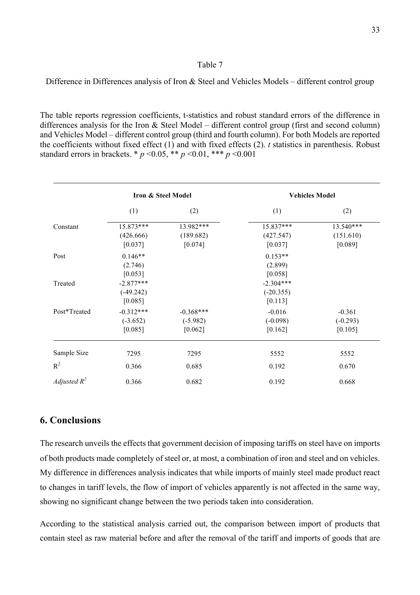#### Table 7

Difference in Differences analysis of Iron & Steel and Vehicles Models – different control group

The table reports regression coefficients, t-statistics and robust standard errors of the difference in differences analysis for the Iron & Steel Model – different control group (first and second column) and Vehicles Model – different control group (third and fourth column). For both Models are reported the coefficients without fixed effect (1) and with fixed effects (2). *t* statistics in parenthesis. Robust standard errors in brackets. \*  $p \le 0.05$ , \*\*  $p \le 0.01$ , \*\*\*  $p \le 0.001$ 

|                | Iron & Steel Model |             | <b>Vehicles Model</b> |            |
|----------------|--------------------|-------------|-----------------------|------------|
|                | (1)                | (2)         | (1)                   | (2)        |
| Constant       | 15.873***          | 13.982***   | 15.837***             | 13.540***  |
|                | (426.666)          | (189.682)   | (427.547)             | (151.610)  |
|                | [0.037]            | [0.074]     | [0.037]               | [0.089]    |
| Post           | $0.146**$          |             | $0.153**$             |            |
|                | (2.746)            |             | (2.899)               |            |
|                | [0.053]            |             | [0.058]               |            |
| Treated        | $-2.877***$        |             | $-2.304***$           |            |
|                | $(-49.242)$        |             | $(-20.355)$           |            |
|                | [0.085]            |             | [0.113]               |            |
| Post*Treated   | $-0.312***$        | $-0.368***$ | $-0.016$              | $-0.361$   |
|                | $(-3.652)$         | $(-5.982)$  | $(-0.098)$            | $(-0.293)$ |
|                | [0.085]            | [0.062]     | [0.162]               | [0.105]    |
| Sample Size    | 7295               | 7295        | 5552                  | 5552       |
| $R^2$          | 0.366              | 0.685       | 0.192                 | 0.670      |
| Adjusted $R^2$ | 0.366              | 0.682       | 0.192                 | 0.668      |

## **6. Conclusions**

The research unveils the effects that government decision of imposing tariffs on steel have on imports of both products made completely of steel or, at most, a combination of iron and steel and on vehicles. My difference in differences analysis indicates that while imports of mainly steel made product react to changes in tariff levels, the flow of import of vehicles apparently is not affected in the same way, showing no significant change between the two periods taken into consideration.

According to the statistical analysis carried out, the comparison between import of products that contain steel as raw material before and after the removal of the tariff and imports of goods that are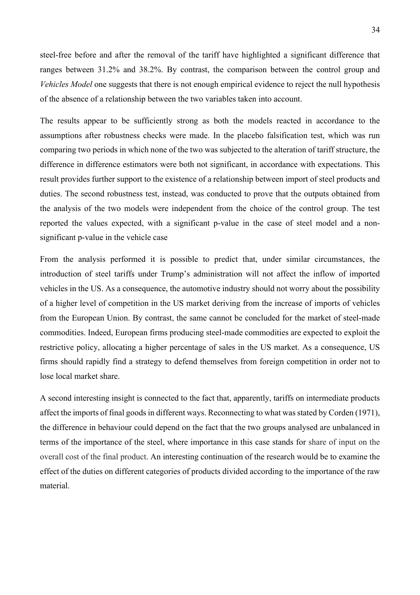steel-free before and after the removal of the tariff have highlighted a significant difference that ranges between 31.2% and 38.2%. By contrast, the comparison between the control group and *Vehicles Model* one suggests that there is not enough empirical evidence to reject the null hypothesis of the absence of a relationship between the two variables taken into account.

The results appear to be sufficiently strong as both the models reacted in accordance to the assumptions after robustness checks were made. In the placebo falsification test, which was run comparing two periods in which none of the two was subjected to the alteration of tariff structure, the difference in difference estimators were both not significant, in accordance with expectations. This result provides further support to the existence of a relationship between import of steel products and duties. The second robustness test, instead, was conducted to prove that the outputs obtained from the analysis of the two models were independent from the choice of the control group. The test reported the values expected, with a significant p-value in the case of steel model and a nonsignificant p-value in the vehicle case

From the analysis performed it is possible to predict that, under similar circumstances, the introduction of steel tariffs under Trump's administration will not affect the inflow of imported vehicles in the US. As a consequence, the automotive industry should not worry about the possibility of a higher level of competition in the US market deriving from the increase of imports of vehicles from the European Union. By contrast, the same cannot be concluded for the market of steel-made commodities. Indeed, European firms producing steel-made commodities are expected to exploit the restrictive policy, allocating a higher percentage of sales in the US market. As a consequence, US firms should rapidly find a strategy to defend themselves from foreign competition in order not to lose local market share.

A second interesting insight is connected to the fact that, apparently, tariffs on intermediate products affect the imports of final goods in different ways. Reconnecting to what was stated by Corden (1971), the difference in behaviour could depend on the fact that the two groups analysed are unbalanced in terms of the importance of the steel, where importance in this case stands for share of input on the overall cost of the final product. An interesting continuation of the research would be to examine the effect of the duties on different categories of products divided according to the importance of the raw material.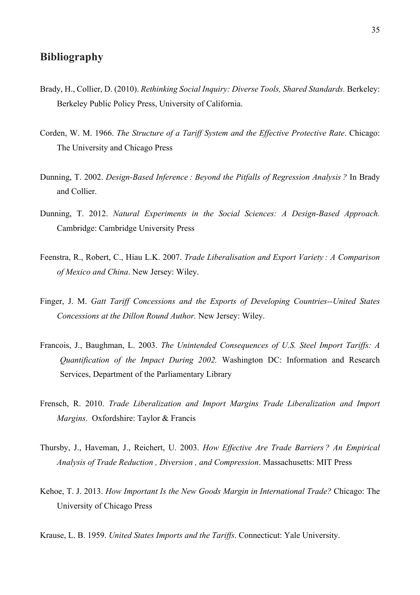# **Bibliography**

- Brady, H., Collier, D. (2010). *Rethinking Social Inquiry: Diverse Tools, Shared Standards.* Berkeley: Berkeley Public Policy Press, University of California.
- Corden, W. M. 1966. *The Structure of a Tariff System and the Effective Protective Rate*. Chicago: The University and Chicago Press
- Dunning, T. 2002. *Design-Based Inference : Beyond the Pitfalls of Regression Analysis ?* In Brady and Collier.
- Dunning, T. 2012. *Natural Experiments in the Social Sciences: A Design-Based Approach.*  Cambridge: Cambridge University Press
- Feenstra, R., Robert, C., Hiau L.K. 2007. *Trade Liberalisation and Export Variety : A Comparison of Mexico and China*. New Jersey: Wiley.
- Finger, J. M. *Gatt Tariff Concessions and the Exports of Developing Countries--United States Concessions at the Dillon Round Author.* New Jersey: Wiley.
- Francois, J., Baughman, L. 2003. *The Unintended Consequences of U.S. Steel Import Tariffs: A Quantification of the Impact During 2002.* Washington DC: Information and Research Services, Department of the Parliamentary Library
- Frensch, R. 2010. *Trade Liberalization and Import Margins Trade Liberalization and Import Margins*. Oxfordshire: Taylor & Francis
- Thursby, J., Haveman, J., Reichert, U. 2003. *How Effective Are Trade Barriers ? An Empirical Analysis of Trade Reduction , Diversion , and Compression*. Massachusetts: MIT Press
- Kehoe, T. J. 2013. *How Important Is the New Goods Margin in International Trade?* Chicago: The University of Chicago Press
- Krause, L. B. 1959. *United States Imports and the Tariffs*. Connecticut: Yale University.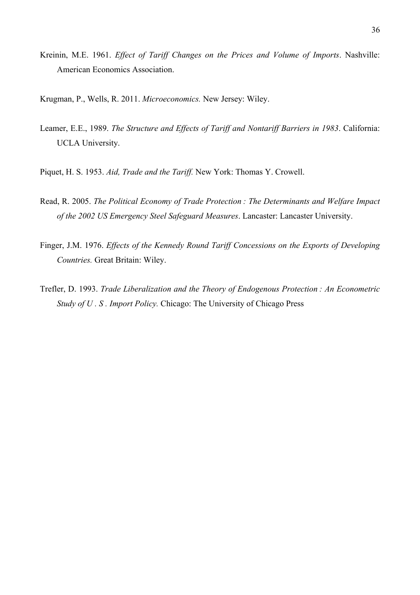- Kreinin, M.E. 1961. *Effect of Tariff Changes on the Prices and Volume of Imports*. Nashville: American Economics Association.
- Krugman, P., Wells, R. 2011. *Microeconomics.* New Jersey: Wiley.
- Leamer, E.E., 1989. *The Structure and Effects of Tariff and Nontariff Barriers in 1983*. California: UCLA University.
- Piquet, H. S. 1953. *Aid, Trade and the Tariff.* New York: Thomas Y. Crowell.
- Read, R. 2005. *The Political Economy of Trade Protection : The Determinants and Welfare Impact of the 2002 US Emergency Steel Safeguard Measures*. Lancaster: Lancaster University.
- Finger, J.M. 1976. *Effects of the Kennedy Round Tariff Concessions on the Exports of Developing Countries.* Great Britain: Wiley.
- Trefler, D. 1993. *Trade Liberalization and the Theory of Endogenous Protection : An Econometric Study of U . S . Import Policy.* Chicago: The University of Chicago Press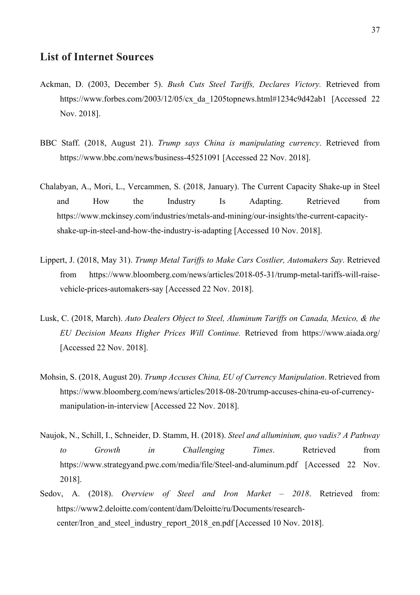## **List of Internet Sources**

- Ackman, D. (2003, December 5). *Bush Cuts Steel Tariffs, Declares Victory.* Retrieved from https://www.forbes.com/2003/12/05/cx\_da\_1205topnews.html#1234c9d42ab1 [Accessed 22 Nov. 2018].
- BBC Staff. (2018, August 21). *Trump says China is manipulating currency*. Retrieved from https://www.bbc.com/news/business-45251091 [Accessed 22 Nov. 2018].
- Chalabyan, A., Mori, L., Vercammen, S. (2018, January). The Current Capacity Shake-up in Steel and How the Industry Is Adapting. Retrieved from https://www.mckinsey.com/industries/metals-and-mining/our-insights/the-current-capacityshake-up-in-steel-and-how-the-industry-is-adapting [Accessed 10 Nov. 2018].
- Lippert, J. (2018, May 31). *Trump Metal Tariffs to Make Cars Costlier, Automakers Say*. Retrieved from https://www.bloomberg.com/news/articles/2018-05-31/trump-metal-tariffs-will-raisevehicle-prices-automakers-say [Accessed 22 Nov. 2018].
- Lusk, C. (2018, March). *Auto Dealers Object to Steel, Aluminum Tariffs on Canada, Mexico, & the EU Decision Means Higher Prices Will Continue.* Retrieved from https://www.aiada.org/ [Accessed 22 Nov. 2018].
- Mohsin, S. (2018, August 20). *Trump Accuses China, EU of Currency Manipulation*. Retrieved from https://www.bloomberg.com/news/articles/2018-08-20/trump-accuses-china-eu-of-currencymanipulation-in-interview [Accessed 22 Nov. 2018].
- Naujok, N., Schill, I., Schneider, D. Stamm, H. (2018). *Steel and alluminium, quo vadis? A Pathway to Growth in Challenging Times*. Retrieved from https://www.strategyand.pwc.com/media/file/Steel-and-aluminum.pdf [Accessed 22 Nov. 2018].
- Sedov, A. (2018). *Overview of Steel and Iron Market – 2018*. Retrieved from: https://www2.deloitte.com/content/dam/Deloitte/ru/Documents/researchcenter/Iron and steel industry report 2018 en.pdf [Accessed 10 Nov. 2018].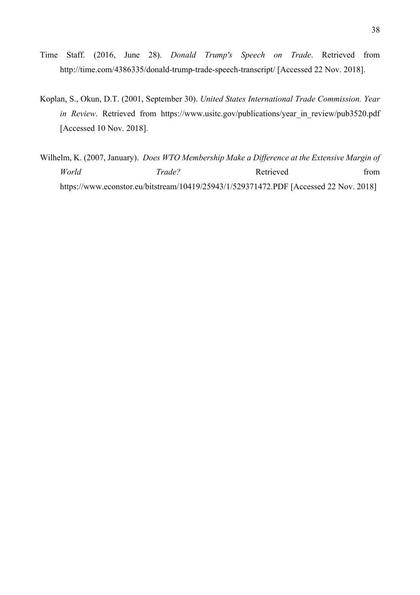- Time Staff. (2016, June 28). *Donald Trump's Speech on Trade*. Retrieved from http://time.com/4386335/donald-trump-trade-speech-transcript/ [Accessed 22 Nov. 2018].
- Koplan, S., Okun, D.T. (2001, September 30). *United States International Trade Commission. Year in Review*. Retrieved from https://www.usitc.gov/publications/year in review/pub3520.pdf [Accessed 10 Nov. 2018].
- Wilhelm, K. (2007, January). *Does WTO Membership Make a Difference at the Extensive Margin of World Trade?* Retrieved from https://www.econstor.eu/bitstream/10419/25943/1/529371472.PDF [Accessed 22 Nov. 2018]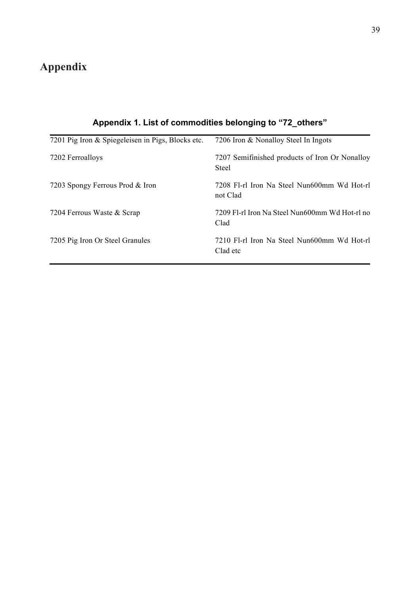# **Appendix**

| 7201 Pig Iron & Spiegeleisen in Pigs, Blocks etc. | 7206 Iron & Nonalloy Steel In Ingots                           |
|---------------------------------------------------|----------------------------------------------------------------|
| 7202 Ferroalloys                                  | 7207 Semifinished products of Iron Or Nonalloy<br><b>Steel</b> |
| 7203 Spongy Ferrous Prod & Iron                   | 7208 F1-r1 Iron Na Steel Nun600mm Wd Hot-r1<br>not Clad        |
| 7204 Ferrous Waste & Scrap                        | 7209 F1-r1 Iron Na Steel Nun600mm Wd Hot-r1 no<br>Clad         |
| 7205 Pig Iron Or Steel Granules                   | 7210 Fl-rl Iron Na Steel Nun600mm Wd Hot-rl<br>Clad etc        |

# **Appendix 1. List of commodities belonging to "72\_others"**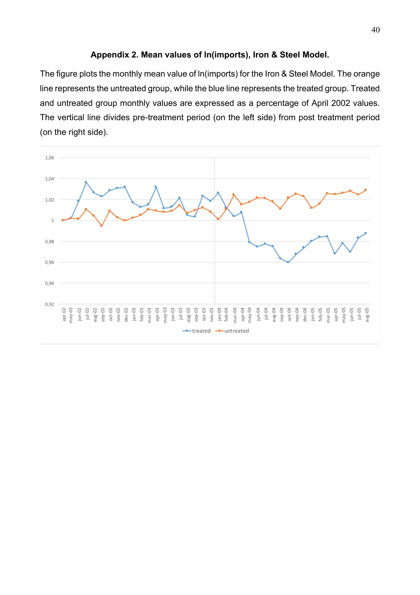#### **Appendix 2. Mean values of ln(imports), Iron & Steel Model.**

The figure plots the monthly mean value of ln(imports) for the Iron & Steel Model. The orange line represents the untreated group, while the blue line represents the treated group. Treated and untreated group monthly values are expressed as a percentage of April 2002 values. The vertical line divides pre-treatment period (on the left side) from post treatment period (on the right side).